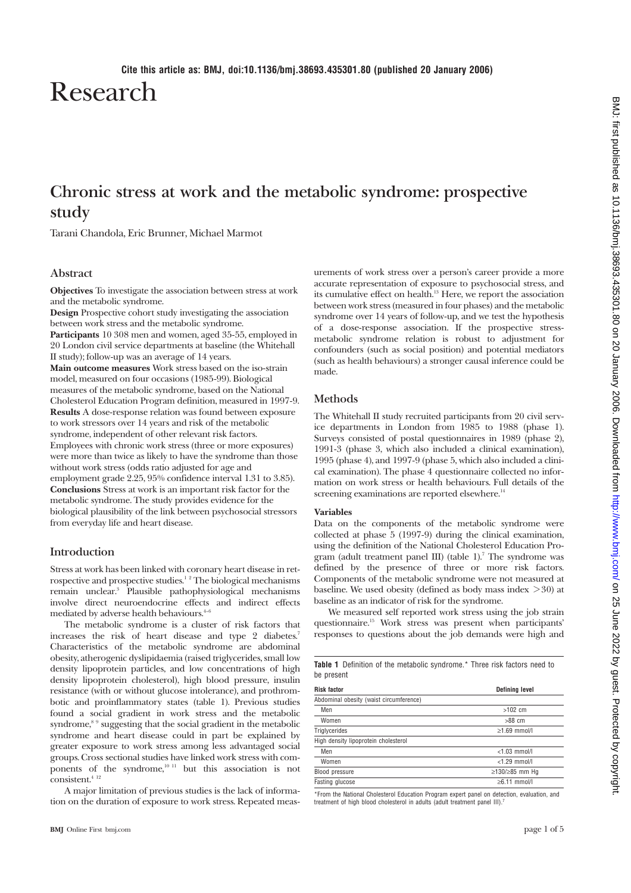Research

# **Chronic stress at work and the metabolic syndrome: prospective study**

Tarani Chandola, Eric Brunner, Michael Marmot

### **Abstract**

**Objectives** To investigate the association between stress at work and the metabolic syndrome.

**Design** Prospective cohort study investigating the association between work stress and the metabolic syndrome. **Participants** 10 308 men and women, aged 35-55, employed in 20 London civil service departments at baseline (the Whitehall II study); follow-up was an average of 14 years. **Main outcome measures** Work stress based on the iso-strain model, measured on four occasions (1985-99). Biological measures of the metabolic syndrome, based on the National Cholesterol Education Program definition, measured in 1997-9. **Results** A dose-response relation was found between exposure to work stressors over 14 years and risk of the metabolic syndrome, independent of other relevant risk factors. Employees with chronic work stress (three or more exposures) were more than twice as likely to have the syndrome than those without work stress (odds ratio adjusted for age and employment grade 2.25, 95% confidence interval 1.31 to 3.85). **Conclusions** Stress at work is an important risk factor for the metabolic syndrome. The study provides evidence for the biological plausibility of the link between psychosocial stressors from everyday life and heart disease.

### **Introduction**

Stress at work has been linked with coronary heart disease in retrospective and prospective studies.<sup>12</sup> The biological mechanisms remain unclear.3 Plausible pathophysiological mechanisms involve direct neuroendocrine effects and indirect effects mediated by adverse health behaviours.<sup>4-</sup>

The metabolic syndrome is a cluster of risk factors that increases the risk of heart disease and type 2 diabetes.7 Characteristics of the metabolic syndrome are abdominal obesity, atherogenic dyslipidaemia (raised triglycerides, small low density lipoprotein particles, and low concentrations of high density lipoprotein cholesterol), high blood pressure, insulin resistance (with or without glucose intolerance), and prothrombotic and proinflammatory states (table 1). Previous studies found a social gradient in work stress and the metabolic syndrome,  $^{\mathrm{s}}$   $^{\mathrm{o}}$  suggesting that the social gradient in the metabolic syndrome and heart disease could in part be explained by greater exposure to work stress among less advantaged social groups. Cross sectional studies have linked work stress with components of the syndrome, $10^{-11}$  but this association is not consistent.<sup>4 12</sup>

A major limitation of previous studies is the lack of information on the duration of exposure to work stress. Repeated measurements of work stress over a person's career provide a more accurate representation of exposure to psychosocial stress, and its cumulative effect on health.13 Here, we report the association between work stress (measured in four phases) and the metabolic syndrome over 14 years of follow-up, and we test the hypothesis of a dose-response association. If the prospective stressmetabolic syndrome relation is robust to adjustment for confounders (such as social position) and potential mediators (such as health behaviours) a stronger causal inference could be made.

### **Methods**

The Whitehall II study recruited participants from 20 civil service departments in London from 1985 to 1988 (phase 1). Surveys consisted of postal questionnaires in 1989 (phase 2), 1991-3 (phase 3, which also included a clinical examination), 1995 (phase 4), and 1997-9 (phase 5, which also included a clinical examination). The phase 4 questionnaire collected no information on work stress or health behaviours. Full details of the screening examinations are reported elsewhere.<sup>14</sup>

### **Variables**

Data on the components of the metabolic syndrome were collected at phase 5 (1997-9) during the clinical examination, using the definition of the National Cholesterol Education Program (adult treatment panel III) (table 1).<sup>7</sup> The syndrome was defined by the presence of three or more risk factors. Components of the metabolic syndrome were not measured at baseline. We used obesity (defined as body mass index  $>30$ ) at baseline as an indicator of risk for the syndrome.

We measured self reported work stress using the job strain questionnaire.15 Work stress was present when participants' responses to questions about the job demands were high and

| <b>Table 1</b> Definition of the metabolic syndrome.* Three risk factors need to<br>be present |                    |  |  |
|------------------------------------------------------------------------------------------------|--------------------|--|--|
| <b>Risk factor</b><br>Defining level                                                           |                    |  |  |
| Abdominal obesity (waist circumference)                                                        |                    |  |  |
| Men                                                                                            | $>102$ cm          |  |  |
| Women                                                                                          | $>88$ cm           |  |  |
| Triglycerides                                                                                  | $\geq$ 1.69 mmol/l |  |  |
| High density lipoprotein cholesterol                                                           |                    |  |  |
| Men                                                                                            | $<$ 1.03 mmol/l    |  |  |
| Women                                                                                          | $<$ 1.29 mmol/l    |  |  |
| Blood pressure                                                                                 | ≥130/≥85 mm Hg     |  |  |
| Fasting glucose                                                                                | $\geq 6.11$ mmol/l |  |  |

\*From the National Cholesterol Education Program expert panel on detection, evaluation, and treatment of high blood cholesterol in adults (adult treatment panel III).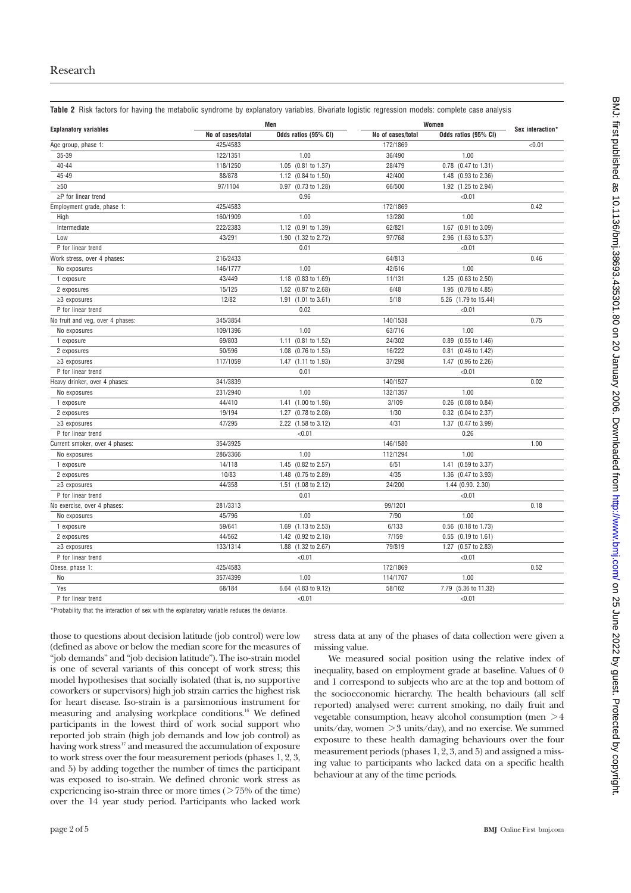**Table 2** Risk factors for having the metabolic syndrome by explanatory variables. Bivariate logistic regression models: complete case analysis

| No of cases/total<br>Odds ratios (95% CI)<br>No of cases/total<br>Odds ratios (95% CI)<br>425/4583<br>172/1869<br>< 0.01<br>Age group, phase 1:<br>$35 - 39$<br>1.00<br>1.00<br>122/1351<br>36/490<br>$40 - 44$<br>118/1250<br>1.05 (0.81 to 1.37)<br>0.78 (0.47 to 1.31)<br>28/479<br>$45 - 49$<br>88/878<br>1.12 (0.84 to 1.50)<br>42/400<br>1.48 (0.93 to 2.36)<br>0.97 (0.73 to 1.28)<br>1.92 (1.25 to 2.94)<br>$\geq 50$<br>97/1104<br>66/500<br>$\geq P$ for linear trend<br>0.96<br>< 0.01<br>425/4583<br>172/1869<br>0.42<br>Employment grade, phase 1:<br>1.00<br>160/1909<br>1.00<br>13/280<br>High<br>Intermediate<br>222/2383<br>1.12 (0.91 to 1.39)<br>62/821<br>1.67 (0.91 to 3.09)<br>43/291<br>1.90 (1.32 to 2.72)<br>97/768<br>2.96 (1.63 to 5.37)<br>Low<br>P for linear trend<br>0.01<br>< 0.01<br>216/2433<br>64/813<br>0.46<br>Work stress, over 4 phases:<br>146/1777<br>1.00<br>42/616<br>1.00<br>No exposures<br>43/449<br>1.18 (0.83 to 1.69)<br>11/131<br>1.25 (0.63 to 2.50)<br>1 exposure<br>1.52 (0.87 to 2.68)<br>6/48<br>1.95 (0.78 to 4.85)<br>2 exposures<br>15/125<br>12/82<br>5/18<br>5.26 (1.79 to 15.44)<br>1.91 (1.01 to 3.61)<br>$\geq$ 3 exposures<br>0.02<br>P for linear trend<br>< 0.01<br>140/1538<br>0.75<br>No fruit and veg, over 4 phases:<br>345/3854<br>109/1396<br>1.00<br>63/716<br>1.00<br>No exposures<br>69/803<br>1.11 (0.81 to 1.52)<br>24/302<br>0.89 (0.55 to 1.46)<br>1 exposure<br>16/222<br>2 exposures<br>50/596<br>1.08<br>$(0.76 \text{ to } 1.53)$<br>0.81 (0.46 to 1.42)<br>117/1059<br>1.47 (1.11 to 1.93)<br>37/298<br>1.47 (0.96 to 2.26)<br>$\geq$ 3 exposures<br>P for linear trend<br>0.01<br>< 0.01<br>341/3839<br>0.02<br>140/1527<br>Heavy drinker, over 4 phases:<br>231/2940<br>1.00<br>132/1357<br>1.00<br>No exposures<br>3/109<br>1 exposure<br>44/410<br>1.41 (1.00 to 1.98)<br>0.26 (0.08 to 0.84)<br>19/194<br>1.27 (0.78 to 2.08)<br>1/30<br>0.32 (0.04 to 2.37)<br>2 exposures<br>47/295<br>2.22 (1.58 to 3.12)<br>4/31<br>1.37 (0.47 to 3.99)<br>$\geq$ 3 exposures<br>P for linear trend<br>< 0.01<br>0.26<br>Current smoker, over 4 phases:<br>354/3925<br>146/1580<br>1.00<br>286/3366<br>1.00<br>112/1294<br>1.00<br>No exposures<br>1.45 (0.82 to 2.57)<br>1 exposure<br>14/118<br>6/51<br>1.41 (0.59 to 3.37)<br>10/83<br>1.48 (0.75 to 2.89)<br>4/35<br>1.36 (0.47 to 3.93)<br>2 exposures<br>44/358<br>24/200<br>$\geq$ 3 exposures<br>1.51 (1.08 to 2.12)<br>1.44 (0.90. 2.30)<br>P for linear trend<br>0.01<br>< 0.01<br>281/3313<br>99/1201<br>0.18<br>No exercise, over 4 phases:<br>7/90<br>45/796<br>1.00<br>1.00<br>No exposures | <b>Explanatory variables</b> |        | Men                               |       | Women               |                  |
|----------------------------------------------------------------------------------------------------------------------------------------------------------------------------------------------------------------------------------------------------------------------------------------------------------------------------------------------------------------------------------------------------------------------------------------------------------------------------------------------------------------------------------------------------------------------------------------------------------------------------------------------------------------------------------------------------------------------------------------------------------------------------------------------------------------------------------------------------------------------------------------------------------------------------------------------------------------------------------------------------------------------------------------------------------------------------------------------------------------------------------------------------------------------------------------------------------------------------------------------------------------------------------------------------------------------------------------------------------------------------------------------------------------------------------------------------------------------------------------------------------------------------------------------------------------------------------------------------------------------------------------------------------------------------------------------------------------------------------------------------------------------------------------------------------------------------------------------------------------------------------------------------------------------------------------------------------------------------------------------------------------------------------------------------------------------------------------------------------------------------------------------------------------------------------------------------------------------------------------------------------------------------------------------------------------------------------------------------------------------------------------------------------------------------------------------------------------------------------------------------------------------------------------------------------------------------------------------------------------------------------------|------------------------------|--------|-----------------------------------|-------|---------------------|------------------|
|                                                                                                                                                                                                                                                                                                                                                                                                                                                                                                                                                                                                                                                                                                                                                                                                                                                                                                                                                                                                                                                                                                                                                                                                                                                                                                                                                                                                                                                                                                                                                                                                                                                                                                                                                                                                                                                                                                                                                                                                                                                                                                                                                                                                                                                                                                                                                                                                                                                                                                                                                                                                                                        |                              |        |                                   |       |                     | Sex interaction* |
|                                                                                                                                                                                                                                                                                                                                                                                                                                                                                                                                                                                                                                                                                                                                                                                                                                                                                                                                                                                                                                                                                                                                                                                                                                                                                                                                                                                                                                                                                                                                                                                                                                                                                                                                                                                                                                                                                                                                                                                                                                                                                                                                                                                                                                                                                                                                                                                                                                                                                                                                                                                                                                        |                              |        |                                   |       |                     |                  |
|                                                                                                                                                                                                                                                                                                                                                                                                                                                                                                                                                                                                                                                                                                                                                                                                                                                                                                                                                                                                                                                                                                                                                                                                                                                                                                                                                                                                                                                                                                                                                                                                                                                                                                                                                                                                                                                                                                                                                                                                                                                                                                                                                                                                                                                                                                                                                                                                                                                                                                                                                                                                                                        |                              |        |                                   |       |                     |                  |
|                                                                                                                                                                                                                                                                                                                                                                                                                                                                                                                                                                                                                                                                                                                                                                                                                                                                                                                                                                                                                                                                                                                                                                                                                                                                                                                                                                                                                                                                                                                                                                                                                                                                                                                                                                                                                                                                                                                                                                                                                                                                                                                                                                                                                                                                                                                                                                                                                                                                                                                                                                                                                                        |                              |        |                                   |       |                     |                  |
|                                                                                                                                                                                                                                                                                                                                                                                                                                                                                                                                                                                                                                                                                                                                                                                                                                                                                                                                                                                                                                                                                                                                                                                                                                                                                                                                                                                                                                                                                                                                                                                                                                                                                                                                                                                                                                                                                                                                                                                                                                                                                                                                                                                                                                                                                                                                                                                                                                                                                                                                                                                                                                        |                              |        |                                   |       |                     |                  |
|                                                                                                                                                                                                                                                                                                                                                                                                                                                                                                                                                                                                                                                                                                                                                                                                                                                                                                                                                                                                                                                                                                                                                                                                                                                                                                                                                                                                                                                                                                                                                                                                                                                                                                                                                                                                                                                                                                                                                                                                                                                                                                                                                                                                                                                                                                                                                                                                                                                                                                                                                                                                                                        |                              |        |                                   |       |                     |                  |
|                                                                                                                                                                                                                                                                                                                                                                                                                                                                                                                                                                                                                                                                                                                                                                                                                                                                                                                                                                                                                                                                                                                                                                                                                                                                                                                                                                                                                                                                                                                                                                                                                                                                                                                                                                                                                                                                                                                                                                                                                                                                                                                                                                                                                                                                                                                                                                                                                                                                                                                                                                                                                                        |                              |        |                                   |       |                     |                  |
|                                                                                                                                                                                                                                                                                                                                                                                                                                                                                                                                                                                                                                                                                                                                                                                                                                                                                                                                                                                                                                                                                                                                                                                                                                                                                                                                                                                                                                                                                                                                                                                                                                                                                                                                                                                                                                                                                                                                                                                                                                                                                                                                                                                                                                                                                                                                                                                                                                                                                                                                                                                                                                        |                              |        |                                   |       |                     |                  |
|                                                                                                                                                                                                                                                                                                                                                                                                                                                                                                                                                                                                                                                                                                                                                                                                                                                                                                                                                                                                                                                                                                                                                                                                                                                                                                                                                                                                                                                                                                                                                                                                                                                                                                                                                                                                                                                                                                                                                                                                                                                                                                                                                                                                                                                                                                                                                                                                                                                                                                                                                                                                                                        |                              |        |                                   |       |                     |                  |
|                                                                                                                                                                                                                                                                                                                                                                                                                                                                                                                                                                                                                                                                                                                                                                                                                                                                                                                                                                                                                                                                                                                                                                                                                                                                                                                                                                                                                                                                                                                                                                                                                                                                                                                                                                                                                                                                                                                                                                                                                                                                                                                                                                                                                                                                                                                                                                                                                                                                                                                                                                                                                                        |                              |        |                                   |       |                     |                  |
|                                                                                                                                                                                                                                                                                                                                                                                                                                                                                                                                                                                                                                                                                                                                                                                                                                                                                                                                                                                                                                                                                                                                                                                                                                                                                                                                                                                                                                                                                                                                                                                                                                                                                                                                                                                                                                                                                                                                                                                                                                                                                                                                                                                                                                                                                                                                                                                                                                                                                                                                                                                                                                        |                              |        |                                   |       |                     |                  |
|                                                                                                                                                                                                                                                                                                                                                                                                                                                                                                                                                                                                                                                                                                                                                                                                                                                                                                                                                                                                                                                                                                                                                                                                                                                                                                                                                                                                                                                                                                                                                                                                                                                                                                                                                                                                                                                                                                                                                                                                                                                                                                                                                                                                                                                                                                                                                                                                                                                                                                                                                                                                                                        |                              |        |                                   |       |                     |                  |
|                                                                                                                                                                                                                                                                                                                                                                                                                                                                                                                                                                                                                                                                                                                                                                                                                                                                                                                                                                                                                                                                                                                                                                                                                                                                                                                                                                                                                                                                                                                                                                                                                                                                                                                                                                                                                                                                                                                                                                                                                                                                                                                                                                                                                                                                                                                                                                                                                                                                                                                                                                                                                                        |                              |        |                                   |       |                     |                  |
|                                                                                                                                                                                                                                                                                                                                                                                                                                                                                                                                                                                                                                                                                                                                                                                                                                                                                                                                                                                                                                                                                                                                                                                                                                                                                                                                                                                                                                                                                                                                                                                                                                                                                                                                                                                                                                                                                                                                                                                                                                                                                                                                                                                                                                                                                                                                                                                                                                                                                                                                                                                                                                        |                              |        |                                   |       |                     |                  |
|                                                                                                                                                                                                                                                                                                                                                                                                                                                                                                                                                                                                                                                                                                                                                                                                                                                                                                                                                                                                                                                                                                                                                                                                                                                                                                                                                                                                                                                                                                                                                                                                                                                                                                                                                                                                                                                                                                                                                                                                                                                                                                                                                                                                                                                                                                                                                                                                                                                                                                                                                                                                                                        |                              |        |                                   |       |                     |                  |
|                                                                                                                                                                                                                                                                                                                                                                                                                                                                                                                                                                                                                                                                                                                                                                                                                                                                                                                                                                                                                                                                                                                                                                                                                                                                                                                                                                                                                                                                                                                                                                                                                                                                                                                                                                                                                                                                                                                                                                                                                                                                                                                                                                                                                                                                                                                                                                                                                                                                                                                                                                                                                                        |                              |        |                                   |       |                     |                  |
|                                                                                                                                                                                                                                                                                                                                                                                                                                                                                                                                                                                                                                                                                                                                                                                                                                                                                                                                                                                                                                                                                                                                                                                                                                                                                                                                                                                                                                                                                                                                                                                                                                                                                                                                                                                                                                                                                                                                                                                                                                                                                                                                                                                                                                                                                                                                                                                                                                                                                                                                                                                                                                        |                              |        |                                   |       |                     |                  |
|                                                                                                                                                                                                                                                                                                                                                                                                                                                                                                                                                                                                                                                                                                                                                                                                                                                                                                                                                                                                                                                                                                                                                                                                                                                                                                                                                                                                                                                                                                                                                                                                                                                                                                                                                                                                                                                                                                                                                                                                                                                                                                                                                                                                                                                                                                                                                                                                                                                                                                                                                                                                                                        |                              |        |                                   |       |                     |                  |
|                                                                                                                                                                                                                                                                                                                                                                                                                                                                                                                                                                                                                                                                                                                                                                                                                                                                                                                                                                                                                                                                                                                                                                                                                                                                                                                                                                                                                                                                                                                                                                                                                                                                                                                                                                                                                                                                                                                                                                                                                                                                                                                                                                                                                                                                                                                                                                                                                                                                                                                                                                                                                                        |                              |        |                                   |       |                     |                  |
|                                                                                                                                                                                                                                                                                                                                                                                                                                                                                                                                                                                                                                                                                                                                                                                                                                                                                                                                                                                                                                                                                                                                                                                                                                                                                                                                                                                                                                                                                                                                                                                                                                                                                                                                                                                                                                                                                                                                                                                                                                                                                                                                                                                                                                                                                                                                                                                                                                                                                                                                                                                                                                        |                              |        |                                   |       |                     |                  |
|                                                                                                                                                                                                                                                                                                                                                                                                                                                                                                                                                                                                                                                                                                                                                                                                                                                                                                                                                                                                                                                                                                                                                                                                                                                                                                                                                                                                                                                                                                                                                                                                                                                                                                                                                                                                                                                                                                                                                                                                                                                                                                                                                                                                                                                                                                                                                                                                                                                                                                                                                                                                                                        |                              |        |                                   |       |                     |                  |
|                                                                                                                                                                                                                                                                                                                                                                                                                                                                                                                                                                                                                                                                                                                                                                                                                                                                                                                                                                                                                                                                                                                                                                                                                                                                                                                                                                                                                                                                                                                                                                                                                                                                                                                                                                                                                                                                                                                                                                                                                                                                                                                                                                                                                                                                                                                                                                                                                                                                                                                                                                                                                                        |                              |        |                                   |       |                     |                  |
|                                                                                                                                                                                                                                                                                                                                                                                                                                                                                                                                                                                                                                                                                                                                                                                                                                                                                                                                                                                                                                                                                                                                                                                                                                                                                                                                                                                                                                                                                                                                                                                                                                                                                                                                                                                                                                                                                                                                                                                                                                                                                                                                                                                                                                                                                                                                                                                                                                                                                                                                                                                                                                        |                              |        |                                   |       |                     |                  |
|                                                                                                                                                                                                                                                                                                                                                                                                                                                                                                                                                                                                                                                                                                                                                                                                                                                                                                                                                                                                                                                                                                                                                                                                                                                                                                                                                                                                                                                                                                                                                                                                                                                                                                                                                                                                                                                                                                                                                                                                                                                                                                                                                                                                                                                                                                                                                                                                                                                                                                                                                                                                                                        |                              |        |                                   |       |                     |                  |
|                                                                                                                                                                                                                                                                                                                                                                                                                                                                                                                                                                                                                                                                                                                                                                                                                                                                                                                                                                                                                                                                                                                                                                                                                                                                                                                                                                                                                                                                                                                                                                                                                                                                                                                                                                                                                                                                                                                                                                                                                                                                                                                                                                                                                                                                                                                                                                                                                                                                                                                                                                                                                                        |                              |        |                                   |       |                     |                  |
|                                                                                                                                                                                                                                                                                                                                                                                                                                                                                                                                                                                                                                                                                                                                                                                                                                                                                                                                                                                                                                                                                                                                                                                                                                                                                                                                                                                                                                                                                                                                                                                                                                                                                                                                                                                                                                                                                                                                                                                                                                                                                                                                                                                                                                                                                                                                                                                                                                                                                                                                                                                                                                        |                              |        |                                   |       |                     |                  |
|                                                                                                                                                                                                                                                                                                                                                                                                                                                                                                                                                                                                                                                                                                                                                                                                                                                                                                                                                                                                                                                                                                                                                                                                                                                                                                                                                                                                                                                                                                                                                                                                                                                                                                                                                                                                                                                                                                                                                                                                                                                                                                                                                                                                                                                                                                                                                                                                                                                                                                                                                                                                                                        |                              |        |                                   |       |                     |                  |
|                                                                                                                                                                                                                                                                                                                                                                                                                                                                                                                                                                                                                                                                                                                                                                                                                                                                                                                                                                                                                                                                                                                                                                                                                                                                                                                                                                                                                                                                                                                                                                                                                                                                                                                                                                                                                                                                                                                                                                                                                                                                                                                                                                                                                                                                                                                                                                                                                                                                                                                                                                                                                                        |                              |        |                                   |       |                     |                  |
|                                                                                                                                                                                                                                                                                                                                                                                                                                                                                                                                                                                                                                                                                                                                                                                                                                                                                                                                                                                                                                                                                                                                                                                                                                                                                                                                                                                                                                                                                                                                                                                                                                                                                                                                                                                                                                                                                                                                                                                                                                                                                                                                                                                                                                                                                                                                                                                                                                                                                                                                                                                                                                        |                              |        |                                   |       |                     |                  |
|                                                                                                                                                                                                                                                                                                                                                                                                                                                                                                                                                                                                                                                                                                                                                                                                                                                                                                                                                                                                                                                                                                                                                                                                                                                                                                                                                                                                                                                                                                                                                                                                                                                                                                                                                                                                                                                                                                                                                                                                                                                                                                                                                                                                                                                                                                                                                                                                                                                                                                                                                                                                                                        |                              |        |                                   |       |                     |                  |
|                                                                                                                                                                                                                                                                                                                                                                                                                                                                                                                                                                                                                                                                                                                                                                                                                                                                                                                                                                                                                                                                                                                                                                                                                                                                                                                                                                                                                                                                                                                                                                                                                                                                                                                                                                                                                                                                                                                                                                                                                                                                                                                                                                                                                                                                                                                                                                                                                                                                                                                                                                                                                                        |                              |        |                                   |       |                     |                  |
|                                                                                                                                                                                                                                                                                                                                                                                                                                                                                                                                                                                                                                                                                                                                                                                                                                                                                                                                                                                                                                                                                                                                                                                                                                                                                                                                                                                                                                                                                                                                                                                                                                                                                                                                                                                                                                                                                                                                                                                                                                                                                                                                                                                                                                                                                                                                                                                                                                                                                                                                                                                                                                        |                              |        |                                   |       |                     |                  |
|                                                                                                                                                                                                                                                                                                                                                                                                                                                                                                                                                                                                                                                                                                                                                                                                                                                                                                                                                                                                                                                                                                                                                                                                                                                                                                                                                                                                                                                                                                                                                                                                                                                                                                                                                                                                                                                                                                                                                                                                                                                                                                                                                                                                                                                                                                                                                                                                                                                                                                                                                                                                                                        |                              |        |                                   |       |                     |                  |
|                                                                                                                                                                                                                                                                                                                                                                                                                                                                                                                                                                                                                                                                                                                                                                                                                                                                                                                                                                                                                                                                                                                                                                                                                                                                                                                                                                                                                                                                                                                                                                                                                                                                                                                                                                                                                                                                                                                                                                                                                                                                                                                                                                                                                                                                                                                                                                                                                                                                                                                                                                                                                                        |                              |        |                                   |       |                     |                  |
|                                                                                                                                                                                                                                                                                                                                                                                                                                                                                                                                                                                                                                                                                                                                                                                                                                                                                                                                                                                                                                                                                                                                                                                                                                                                                                                                                                                                                                                                                                                                                                                                                                                                                                                                                                                                                                                                                                                                                                                                                                                                                                                                                                                                                                                                                                                                                                                                                                                                                                                                                                                                                                        |                              |        |                                   |       |                     |                  |
|                                                                                                                                                                                                                                                                                                                                                                                                                                                                                                                                                                                                                                                                                                                                                                                                                                                                                                                                                                                                                                                                                                                                                                                                                                                                                                                                                                                                                                                                                                                                                                                                                                                                                                                                                                                                                                                                                                                                                                                                                                                                                                                                                                                                                                                                                                                                                                                                                                                                                                                                                                                                                                        |                              |        |                                   |       |                     |                  |
|                                                                                                                                                                                                                                                                                                                                                                                                                                                                                                                                                                                                                                                                                                                                                                                                                                                                                                                                                                                                                                                                                                                                                                                                                                                                                                                                                                                                                                                                                                                                                                                                                                                                                                                                                                                                                                                                                                                                                                                                                                                                                                                                                                                                                                                                                                                                                                                                                                                                                                                                                                                                                                        |                              |        |                                   |       |                     |                  |
|                                                                                                                                                                                                                                                                                                                                                                                                                                                                                                                                                                                                                                                                                                                                                                                                                                                                                                                                                                                                                                                                                                                                                                                                                                                                                                                                                                                                                                                                                                                                                                                                                                                                                                                                                                                                                                                                                                                                                                                                                                                                                                                                                                                                                                                                                                                                                                                                                                                                                                                                                                                                                                        |                              |        |                                   |       |                     |                  |
|                                                                                                                                                                                                                                                                                                                                                                                                                                                                                                                                                                                                                                                                                                                                                                                                                                                                                                                                                                                                                                                                                                                                                                                                                                                                                                                                                                                                                                                                                                                                                                                                                                                                                                                                                                                                                                                                                                                                                                                                                                                                                                                                                                                                                                                                                                                                                                                                                                                                                                                                                                                                                                        | 1 exposure                   | 59/641 | 1.69<br>$(1.13 \text{ to } 2.53)$ | 6/133 | 0.56 (0.18 to 1.73) |                  |
| 2 exposures<br>44/562<br>1.42 (0.92 to 2.18)<br>7/159<br>$0.55$ $(0.19 \text{ to } 1.61)$                                                                                                                                                                                                                                                                                                                                                                                                                                                                                                                                                                                                                                                                                                                                                                                                                                                                                                                                                                                                                                                                                                                                                                                                                                                                                                                                                                                                                                                                                                                                                                                                                                                                                                                                                                                                                                                                                                                                                                                                                                                                                                                                                                                                                                                                                                                                                                                                                                                                                                                                              |                              |        |                                   |       |                     |                  |
| 133/1314<br>1.88 (1.32 to 2.67)<br>79/819<br>1.27 (0.57 to 2.83)<br>$\geq$ 3 exposures                                                                                                                                                                                                                                                                                                                                                                                                                                                                                                                                                                                                                                                                                                                                                                                                                                                                                                                                                                                                                                                                                                                                                                                                                                                                                                                                                                                                                                                                                                                                                                                                                                                                                                                                                                                                                                                                                                                                                                                                                                                                                                                                                                                                                                                                                                                                                                                                                                                                                                                                                 |                              |        |                                   |       |                     |                  |
| P for linear trend<br>< 0.01<br>< 0.01                                                                                                                                                                                                                                                                                                                                                                                                                                                                                                                                                                                                                                                                                                                                                                                                                                                                                                                                                                                                                                                                                                                                                                                                                                                                                                                                                                                                                                                                                                                                                                                                                                                                                                                                                                                                                                                                                                                                                                                                                                                                                                                                                                                                                                                                                                                                                                                                                                                                                                                                                                                                 |                              |        |                                   |       |                     |                  |
| 425/4583<br>172/1869<br>0.52<br>Obese, phase 1:                                                                                                                                                                                                                                                                                                                                                                                                                                                                                                                                                                                                                                                                                                                                                                                                                                                                                                                                                                                                                                                                                                                                                                                                                                                                                                                                                                                                                                                                                                                                                                                                                                                                                                                                                                                                                                                                                                                                                                                                                                                                                                                                                                                                                                                                                                                                                                                                                                                                                                                                                                                        |                              |        |                                   |       |                     |                  |
| 357/4399<br>1.00<br>114/1707<br>1.00<br>No                                                                                                                                                                                                                                                                                                                                                                                                                                                                                                                                                                                                                                                                                                                                                                                                                                                                                                                                                                                                                                                                                                                                                                                                                                                                                                                                                                                                                                                                                                                                                                                                                                                                                                                                                                                                                                                                                                                                                                                                                                                                                                                                                                                                                                                                                                                                                                                                                                                                                                                                                                                             |                              |        |                                   |       |                     |                  |
| 68/184<br>6.64 (4.83 to 9.12)<br>58/162<br>7.79 (5.36 to 11.32)<br>Yes                                                                                                                                                                                                                                                                                                                                                                                                                                                                                                                                                                                                                                                                                                                                                                                                                                                                                                                                                                                                                                                                                                                                                                                                                                                                                                                                                                                                                                                                                                                                                                                                                                                                                                                                                                                                                                                                                                                                                                                                                                                                                                                                                                                                                                                                                                                                                                                                                                                                                                                                                                 |                              |        |                                   |       |                     |                  |
| < 0.01<br>< 0.01<br>P for linear trend                                                                                                                                                                                                                                                                                                                                                                                                                                                                                                                                                                                                                                                                                                                                                                                                                                                                                                                                                                                                                                                                                                                                                                                                                                                                                                                                                                                                                                                                                                                                                                                                                                                                                                                                                                                                                                                                                                                                                                                                                                                                                                                                                                                                                                                                                                                                                                                                                                                                                                                                                                                                 |                              |        |                                   |       |                     |                  |

\*Probability that the interaction of sex with the explanatory variable reduces the deviance.

those to questions about decision latitude (job control) were low (defined as above or below the median score for the measures of "job demands" and "job decision latitude"). The iso-strain model is one of several variants of this concept of work stress; this model hypothesises that socially isolated (that is, no supportive coworkers or supervisors) high job strain carries the highest risk for heart disease. Iso-strain is a parsimonious instrument for measuring and analysing workplace conditions.16 We defined participants in the lowest third of work social support who reported job strain (high job demands and low job control) as having work stress<sup>17</sup> and measured the accumulation of exposure to work stress over the four measurement periods (phases 1, 2, 3, and 5) by adding together the number of times the participant was exposed to iso-strain. We defined chronic work stress as experiencing iso-strain three or more times  $($  >75% of the time) over the 14 year study period. Participants who lacked work

stress data at any of the phases of data collection were given a missing value.

We measured social position using the relative index of inequality, based on employment grade at baseline. Values of 0 and 1 correspond to subjects who are at the top and bottom of the socioeconomic hierarchy. The health behaviours (all self reported) analysed were: current smoking, no daily fruit and vegetable consumption, heavy alcohol consumption (men > 4 units/day, women  $>3$  units/day), and no exercise. We summed exposure to these health damaging behaviours over the four measurement periods (phases 1, 2, 3, and 5) and assigned a missing value to participants who lacked data on a specific health behaviour at any of the time periods.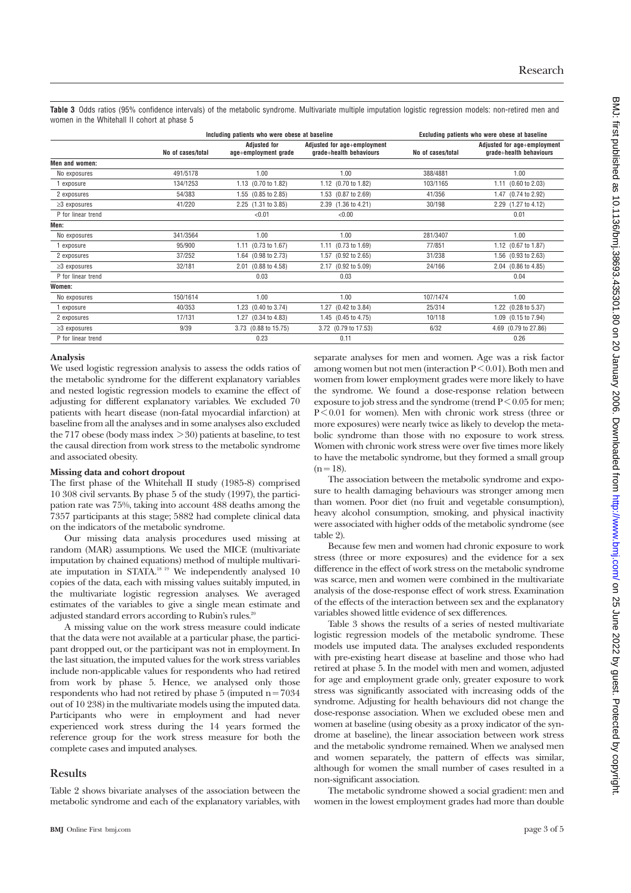**Table 3** Odds ratios (95% confidence intervals) of the metabolic syndrome. Multivariate multiple imputation logistic regression models: non-retired men and women in the Whitehall II cohort at phase 5

|                    |                   | Including patients who were obese at baseline |                                                        |                   | Excluding patients who were obese at baseline          |  |
|--------------------|-------------------|-----------------------------------------------|--------------------------------------------------------|-------------------|--------------------------------------------------------|--|
|                    | No of cases/total | <b>Adjusted for</b><br>age+employment grade   | Adjusted for age+employment<br>grade+health behaviours | No of cases/total | Adjusted for age+employment<br>grade+health behaviours |  |
| Men and women:     |                   |                                               |                                                        |                   |                                                        |  |
| No exposures       | 491/5178          | 1.00                                          | 1.00                                                   | 388/4881          | 1.00                                                   |  |
| exposure           | 134/1253          | 1.13 (0.70 to 1.82)                           | 1.12 (0.70 to 1.82)                                    | 103/1165          | $1.11$ (0.60 to 2.03)                                  |  |
| 2 exposures        | 54/383            | 1.55 (0.85 to 2.85)                           | 1.53 (0.87 to 2.69)                                    | 41/356            | 1.47 (0.74 to 2.92)                                    |  |
| $\geq$ 3 exposures | 41/220            | 2.25 (1.31 to 3.85)                           | 2.39 (1.36 to 4.21)                                    | 30/198            | 2.29 (1.27 to 4.12)                                    |  |
| P for linear trend |                   | < 0.01                                        | < 0.00                                                 |                   | 0.01                                                   |  |
| Men:               |                   |                                               |                                                        |                   |                                                        |  |
| No exposures       | 341/3564          | 1.00                                          | 1.00                                                   | 281/3407          | 1.00                                                   |  |
| exposure           | 95/900            | 1.11 (0.73 to 1.67)                           | 1.11 (0.73 to 1.69)                                    | 77/851            | 1.12 (0.67 to 1.87)                                    |  |
| 2 exposures        | 37/252            | 1.64 (0.98 to 2.73)                           | 1.57 (0.92 to 2.65)                                    | 31/238            | 1.56 (0.93 to 2.63)                                    |  |
| $\geq$ 3 exposures | 32/181            | 2.01 (0.88 to 4.58)                           | 2.17 (0.92 to 5.09)                                    | 24/166            | 2.04 (0.86 to 4.85)                                    |  |
| P for linear trend |                   | 0.03                                          | 0.03                                                   |                   | 0.04                                                   |  |
| Women:             |                   |                                               |                                                        |                   |                                                        |  |
| No exposures       | 150/1614          | 1.00                                          | 1.00                                                   | 107/1474          | 1.00                                                   |  |
| exposure           | 40/353            | 1.23 (0.40 to 3.74)                           | 1.27 (0.42 to 3.84)                                    | 25/314            | 1.22 (0.28 to 5.37)                                    |  |
| 2 exposures        | 17/131            | 1.27 (0.34 to 4.83)                           | 1.45 (0.45 to 4.75)                                    | 10/118            | 1.09 (0.15 to 7.94)                                    |  |
| $\geq$ 3 exposures | 9/39              | 3.73 (0.88 to 15.75)                          | 3.72 (0.79 to 17.53)                                   | 6/32              | 4.69 (0.79 to 27.86)                                   |  |
| P for linear trend |                   | 0.23                                          | 0.11                                                   |                   | 0.26                                                   |  |

### **Analysis**

We used logistic regression analysis to assess the odds ratios of the metabolic syndrome for the different explanatory variables and nested logistic regression models to examine the effect of adjusting for different explanatory variables. We excluded 70 patients with heart disease (non-fatal myocardial infarction) at baseline from all the analyses and in some analyses also excluded the 717 obese (body mass index  $>$  30) patients at baseline, to test the causal direction from work stress to the metabolic syndrome and associated obesity.

#### **Missing data and cohort dropout**

The first phase of the Whitehall II study (1985-8) comprised 10 308 civil servants. By phase 5 of the study (1997), the participation rate was 75%, taking into account 488 deaths among the 7357 participants at this stage; 5882 had complete clinical data on the indicators of the metabolic syndrome.

Our missing data analysis procedures used missing at random (MAR) assumptions. We used the MICE (multivariate imputation by chained equations) method of multiple multivariate imputation in STATA.18 19 We independently analysed 10 copies of the data, each with missing values suitably imputed, in the multivariate logistic regression analyses. We averaged estimates of the variables to give a single mean estimate and adjusted standard errors according to Rubin's rules.<sup>20</sup>

A missing value on the work stress measure could indicate that the data were not available at a particular phase, the participant dropped out, or the participant was not in employment. In the last situation, the imputed values for the work stress variables include non-applicable values for respondents who had retired from work by phase 5. Hence, we analysed only those respondents who had not retired by phase  $5$  (imputed  $n = 7034$ ) out of 10 238) in the multivariate models using the imputed data. Participants who were in employment and had never experienced work stress during the 14 years formed the reference group for the work stress measure for both the complete cases and imputed analyses.

# **Results**

Table 2 shows bivariate analyses of the association between the metabolic syndrome and each of the explanatory variables, with separate analyses for men and women. Age was a risk factor among women but not men (interaction P < 0.01). Both men and women from lower employment grades were more likely to have the syndrome. We found a dose-response relation between exposure to job stress and the syndrome (trend  $P < 0.05$  for men; P < 0.01 for women). Men with chronic work stress (three or more exposures) were nearly twice as likely to develop the metabolic syndrome than those with no exposure to work stress. Women with chronic work stress were over five times more likely to have the metabolic syndrome, but they formed a small group  $(n = 18)$ .

The association between the metabolic syndrome and exposure to health damaging behaviours was stronger among men than women. Poor diet (no fruit and vegetable consumption), heavy alcohol consumption, smoking, and physical inactivity were associated with higher odds of the metabolic syndrome (see table 2).

Because few men and women had chronic exposure to work stress (three or more exposures) and the evidence for a sex difference in the effect of work stress on the metabolic syndrome was scarce, men and women were combined in the multivariate analysis of the dose-response effect of work stress. Examination of the effects of the interaction between sex and the explanatory variables showed little evidence of sex differences.

Table 3 shows the results of a series of nested multivariate logistic regression models of the metabolic syndrome. These models use imputed data. The analyses excluded respondents with pre-existing heart disease at baseline and those who had retired at phase 5. In the model with men and women, adjusted for age and employment grade only, greater exposure to work stress was significantly associated with increasing odds of the syndrome. Adjusting for health behaviours did not change the dose-response association. When we excluded obese men and women at baseline (using obesity as a proxy indicator of the syndrome at baseline), the linear association between work stress and the metabolic syndrome remained. When we analysed men and women separately, the pattern of effects was similar, although for women the small number of cases resulted in a non-significant association.

The metabolic syndrome showed a social gradient: men and women in the lowest employment grades had more than double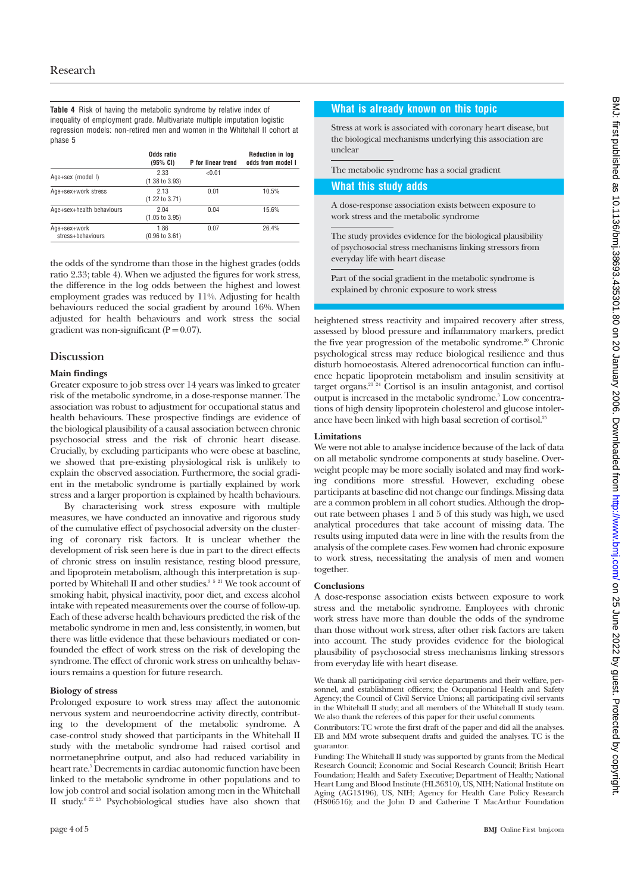**Table 4** Risk of having the metabolic syndrome by relative index of inequality of employment grade. Multivariate multiple imputation logistic regression models: non-retired men and women in the Whitehall II cohort at phase 5

|                                   | Odds ratio<br>(95% CI)            | P for linear trend | <b>Reduction in log</b><br>odds from model I |
|-----------------------------------|-----------------------------------|--------------------|----------------------------------------------|
| Age+sex (model I)                 | 2.33<br>$(1.38 \text{ to } 3.93)$ | < 0.01             |                                              |
| Age+sex+work stress               | 2.13<br>$(1.22 \text{ to } 3.71)$ | 0.01               | 10.5%                                        |
| Age+sex+health behaviours         | 2.04<br>$(1.05 \text{ to } 3.95)$ | 0.04               | 15.6%                                        |
| Age+sex+work<br>stress+behaviours | 1.86<br>$(0.96 \text{ to } 3.61)$ | 0.07               | 26.4%                                        |

the odds of the syndrome than those in the highest grades (odds ratio 2.33; table 4). When we adjusted the figures for work stress, the difference in the log odds between the highest and lowest employment grades was reduced by 11%. Adjusting for health behaviours reduced the social gradient by around 16%. When adjusted for health behaviours and work stress the social gradient was non-significant ( $P = 0.07$ ).

# **Discussion**

### **Main findings**

Greater exposure to job stress over 14 years was linked to greater risk of the metabolic syndrome, in a dose-response manner. The association was robust to adjustment for occupational status and health behaviours. These prospective findings are evidence of the biological plausibility of a causal association between chronic psychosocial stress and the risk of chronic heart disease. Crucially, by excluding participants who were obese at baseline, we showed that pre-existing physiological risk is unlikely to explain the observed association. Furthermore, the social gradient in the metabolic syndrome is partially explained by work stress and a larger proportion is explained by health behaviours.

By characterising work stress exposure with multiple measures, we have conducted an innovative and rigorous study of the cumulative effect of psychosocial adversity on the clustering of coronary risk factors. It is unclear whether the development of risk seen here is due in part to the direct effects of chronic stress on insulin resistance, resting blood pressure, and lipoprotein metabolism, although this interpretation is supported by Whitehall II and other studies.<sup>3 5 21</sup> We took account of smoking habit, physical inactivity, poor diet, and excess alcohol intake with repeated measurements over the course of follow-up. Each of these adverse health behaviours predicted the risk of the metabolic syndrome in men and, less consistently, in women, but there was little evidence that these behaviours mediated or confounded the effect of work stress on the risk of developing the syndrome. The effect of chronic work stress on unhealthy behaviours remains a question for future research.

### **Biology of stress**

Prolonged exposure to work stress may affect the autonomic nervous system and neuroendocrine activity directly, contributing to the development of the metabolic syndrome. A case-control study showed that participants in the Whitehall II study with the metabolic syndrome had raised cortisol and normetanephrine output, and also had reduced variability in heart rate.<sup>5</sup> Decrements in cardiac autonomic function have been linked to the metabolic syndrome in other populations and to low job control and social isolation among men in the Whitehall II study.6 22 23 Psychobiological studies have also shown that

# **What is already known on this topic**

Stress at work is associated with coronary heart disease, but the biological mechanisms underlying this association are unclear

The metabolic syndrome has a social gradient

### **What this study adds**

A dose-response association exists between exposure to work stress and the metabolic syndrome

The study provides evidence for the biological plausibility of psychosocial stress mechanisms linking stressors from everyday life with heart disease

Part of the social gradient in the metabolic syndrome is explained by chronic exposure to work stress

heightened stress reactivity and impaired recovery after stress, assessed by blood pressure and inflammatory markers, predict the five year progression of the metabolic syndrome.<sup>20</sup> Chronic psychological stress may reduce biological resilience and thus disturb homoeostasis. Altered adrenocortical function can influence hepatic lipoprotein metabolism and insulin sensitivity at target organs.<sup>21 24</sup> Cortisol is an insulin antagonist, and cortisol output is increased in the metabolic syndrome.5 Low concentrations of high density lipoprotein cholesterol and glucose intolerance have been linked with high basal secretion of cortisol.25

### **Limitations**

We were not able to analyse incidence because of the lack of data on all metabolic syndrome components at study baseline. Overweight people may be more socially isolated and may find working conditions more stressful. However, excluding obese participants at baseline did not change our findings. Missing data are a common problem in all cohort studies. Although the dropout rate between phases 1 and 5 of this study was high, we used analytical procedures that take account of missing data. The results using imputed data were in line with the results from the analysis of the complete cases. Few women had chronic exposure to work stress, necessitating the analysis of men and women together.

# **Conclusions**

A dose-response association exists between exposure to work stress and the metabolic syndrome. Employees with chronic work stress have more than double the odds of the syndrome than those without work stress, after other risk factors are taken into account. The study provides evidence for the biological plausibility of psychosocial stress mechanisms linking stressors from everyday life with heart disease.

We thank all participating civil service departments and their welfare, personnel, and establishment officers; the Occupational Health and Safety Agency; the Council of Civil Service Unions; all participating civil servants in the Whitehall II study; and all members of the Whitehall II study team. We also thank the referees of this paper for their useful comments.

Contributors: TC wrote the first draft of the paper and did all the analyses. EB and MM wrote subsequent drafts and guided the analyses. TC is the guarantor.

Funding: The Whitehall II study was supported by grants from the Medical Research Council; Economic and Social Research Council; British Heart Foundation; Health and Safety Executive; Department of Health; National Heart Lung and Blood Institute (HL36310), US, NIH; National Institute on Aging (AG13196), US, NIH; Agency for Health Care Policy Research (HS06516); and the John D and Catherine T MacArthur Foundation